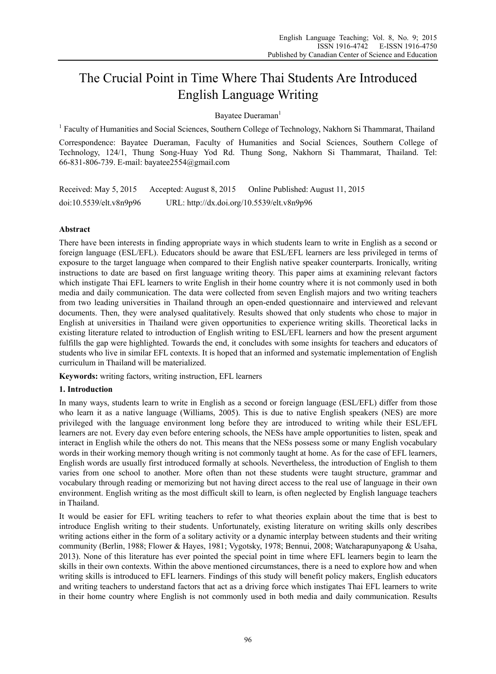# The Crucial Point in Time Where Thai Students Are Introduced English Language Writing

Bayatee Dueraman<sup>1</sup>

<sup>1</sup> Faculty of Humanities and Social Sciences, Southern College of Technology, Nakhorn Si Thammarat, Thailand

Correspondence: Bayatee Dueraman, Faculty of Humanities and Social Sciences, Southern College of Technology, 124/1, Thung Song-Huay Yod Rd. Thung Song, Nakhorn Si Thammarat, Thailand. Tel: 66-831-806-739. E-mail: bayatee2554@gmail.com

Received: May 5, 2015 Accepted: August 8, 2015 Online Published: August 11, 2015 doi:10.5539/elt.v8n9p96 URL: http://dx.doi.org/10.5539/elt.v8n9p96

# **Abstract**

There have been interests in finding appropriate ways in which students learn to write in English as a second or foreign language (ESL/EFL). Educators should be aware that ESL/EFL learners are less privileged in terms of exposure to the target language when compared to their English native speaker counterparts. Ironically, writing instructions to date are based on first language writing theory. This paper aims at examining relevant factors which instigate Thai EFL learners to write English in their home country where it is not commonly used in both media and daily communication. The data were collected from seven English majors and two writing teachers from two leading universities in Thailand through an open-ended questionnaire and interviewed and relevant documents. Then, they were analysed qualitatively. Results showed that only students who chose to major in English at universities in Thailand were given opportunities to experience writing skills. Theoretical lacks in existing literature related to introduction of English writing to ESL/EFL learners and how the present argument fulfills the gap were highlighted. Towards the end, it concludes with some insights for teachers and educators of students who live in similar EFL contexts. It is hoped that an informed and systematic implementation of English curriculum in Thailand will be materialized.

**Keywords:** writing factors, writing instruction, EFL learners

## **1. Introduction**

In many ways, students learn to write in English as a second or foreign language (ESL/EFL) differ from those who learn it as a native language (Williams, 2005). This is due to native English speakers (NES) are more privileged with the language environment long before they are introduced to writing while their ESL/EFL learners are not. Every day even before entering schools, the NESs have ample opportunities to listen, speak and interact in English while the others do not. This means that the NESs possess some or many English vocabulary words in their working memory though writing is not commonly taught at home. As for the case of EFL learners, English words are usually first introduced formally at schools. Nevertheless, the introduction of English to them varies from one school to another. More often than not these students were taught structure, grammar and vocabulary through reading or memorizing but not having direct access to the real use of language in their own environment. English writing as the most difficult skill to learn, is often neglected by English language teachers in Thailand.

It would be easier for EFL writing teachers to refer to what theories explain about the time that is best to introduce English writing to their students. Unfortunately, existing literature on writing skills only describes writing actions either in the form of a solitary activity or a dynamic interplay between students and their writing community (Berlin, 1988; Flower & Hayes, 1981; Vygotsky, 1978; Bennui, 2008; Watcharapunyapong & Usaha, 2013). None of this literature has ever pointed the special point in time where EFL learners begin to learn the skills in their own contexts. Within the above mentioned circumstances, there is a need to explore how and when writing skills is introduced to EFL learners. Findings of this study will benefit policy makers, English educators and writing teachers to understand factors that act as a driving force which instigates Thai EFL learners to write in their home country where English is not commonly used in both media and daily communication. Results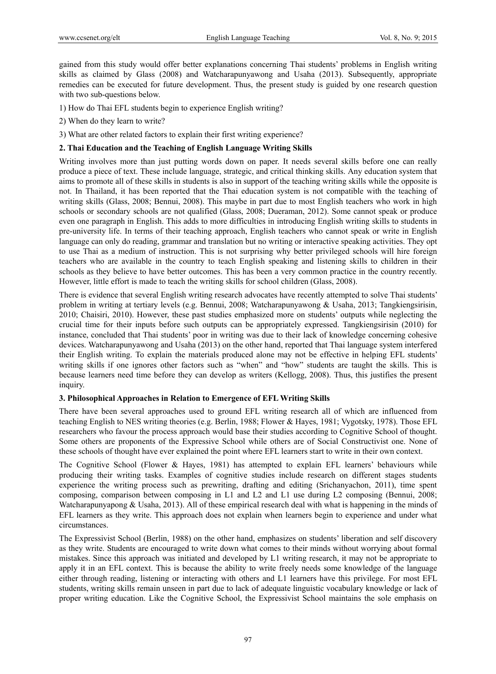gained from this study would offer better explanations concerning Thai students' problems in English writing skills as claimed by Glass (2008) and Watcharapunyawong and Usaha (2013). Subsequently, appropriate remedies can be executed for future development. Thus, the present study is guided by one research question with two sub-questions below.

- 1) How do Thai EFL students begin to experience English writing?
- 2) When do they learn to write?
- 3) What are other related factors to explain their first writing experience?

# **2. Thai Education and the Teaching of English Language Writing Skills**

Writing involves more than just putting words down on paper. It needs several skills before one can really produce a piece of text. These include language, strategic, and critical thinking skills. Any education system that aims to promote all of these skills in students is also in support of the teaching writing skills while the opposite is not. In Thailand, it has been reported that the Thai education system is not compatible with the teaching of writing skills (Glass, 2008; Bennui, 2008). This maybe in part due to most English teachers who work in high schools or secondary schools are not qualified (Glass, 2008; Dueraman, 2012). Some cannot speak or produce even one paragraph in English. This adds to more difficulties in introducing English writing skills to students in pre-university life. In terms of their teaching approach, English teachers who cannot speak or write in English language can only do reading, grammar and translation but no writing or interactive speaking activities. They opt to use Thai as a medium of instruction. This is not surprising why better privileged schools will hire foreign teachers who are available in the country to teach English speaking and listening skills to children in their schools as they believe to have better outcomes. This has been a very common practice in the country recently. However, little effort is made to teach the writing skills for school children (Glass, 2008).

There is evidence that several English writing research advocates have recently attempted to solve Thai students' problem in writing at tertiary levels (e.g. Bennui, 2008; Watcharapunyawong & Usaha, 2013; Tangkiengsirisin, 2010; Chaisiri, 2010). However, these past studies emphasized more on students' outputs while neglecting the crucial time for their inputs before such outputs can be appropriately expressed. Tangkiengsirisin (2010) for instance, concluded that Thai students' poor in writing was due to their lack of knowledge concerning cohesive devices. Watcharapunyawong and Usaha (2013) on the other hand, reported that Thai language system interfered their English writing. To explain the materials produced alone may not be effective in helping EFL students' writing skills if one ignores other factors such as "when" and "how" students are taught the skills. This is because learners need time before they can develop as writers (Kellogg, 2008). Thus, this justifies the present inquiry.

## **3. Philosophical Approaches in Relation to Emergence of EFL Writing Skills**

There have been several approaches used to ground EFL writing research all of which are influenced from teaching English to NES writing theories (e.g. Berlin, 1988; Flower & Hayes, 1981; Vygotsky, 1978). Those EFL researchers who favour the process approach would base their studies according to Cognitive School of thought. Some others are proponents of the Expressive School while others are of Social Constructivist one. None of these schools of thought have ever explained the point where EFL learners start to write in their own context.

The Cognitive School (Flower & Hayes, 1981) has attempted to explain EFL learners' behaviours while producing their writing tasks. Examples of cognitive studies include research on different stages students experience the writing process such as prewriting, drafting and editing (Srichanyachon, 2011), time spent composing, comparison between composing in L1 and L2 and L1 use during L2 composing (Bennui, 2008; Watcharapunyapong & Usaha, 2013). All of these empirical research deal with what is happening in the minds of EFL learners as they write. This approach does not explain when learners begin to experience and under what circumstances.

The Expressivist School (Berlin, 1988) on the other hand, emphasizes on students' liberation and self discovery as they write. Students are encouraged to write down what comes to their minds without worrying about formal mistakes. Since this approach was initiated and developed by L1 writing research, it may not be appropriate to apply it in an EFL context. This is because the ability to write freely needs some knowledge of the language either through reading, listening or interacting with others and L1 learners have this privilege. For most EFL students, writing skills remain unseen in part due to lack of adequate linguistic vocabulary knowledge or lack of proper writing education. Like the Cognitive School, the Expressivist School maintains the sole emphasis on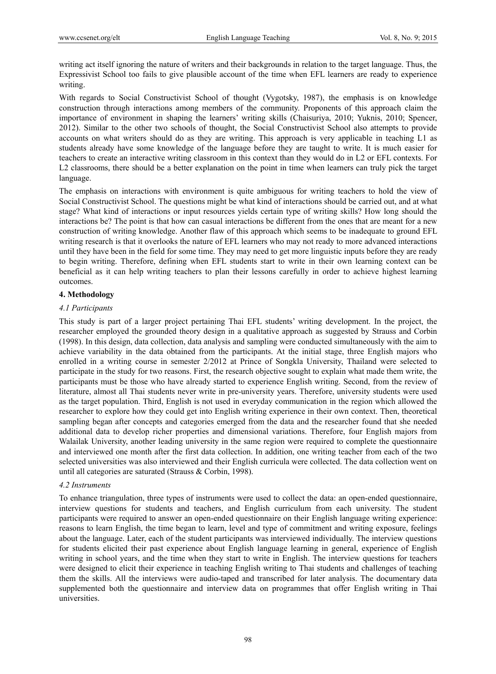writing act itself ignoring the nature of writers and their backgrounds in relation to the target language. Thus, the Expressivist School too fails to give plausible account of the time when EFL learners are ready to experience writing.

With regards to Social Constructivist School of thought (Vygotsky, 1987), the emphasis is on knowledge construction through interactions among members of the community. Proponents of this approach claim the importance of environment in shaping the learners' writing skills (Chaisuriya, 2010; Yuknis, 2010; Spencer, 2012). Similar to the other two schools of thought, the Social Constructivist School also attempts to provide accounts on what writers should do as they are writing. This approach is very applicable in teaching L1 as students already have some knowledge of the language before they are taught to write. It is much easier for teachers to create an interactive writing classroom in this context than they would do in L2 or EFL contexts. For L2 classrooms, there should be a better explanation on the point in time when learners can truly pick the target language.

The emphasis on interactions with environment is quite ambiguous for writing teachers to hold the view of Social Constructivist School. The questions might be what kind of interactions should be carried out, and at what stage? What kind of interactions or input resources yields certain type of writing skills? How long should the interactions be? The point is that how can casual interactions be different from the ones that are meant for a new construction of writing knowledge. Another flaw of this approach which seems to be inadequate to ground EFL writing research is that it overlooks the nature of EFL learners who may not ready to more advanced interactions until they have been in the field for some time. They may need to get more linguistic inputs before they are ready to begin writing. Therefore, defining when EFL students start to write in their own learning context can be beneficial as it can help writing teachers to plan their lessons carefully in order to achieve highest learning outcomes.

#### **4. Methodology**

#### *4.1 Participants*

This study is part of a larger project pertaining Thai EFL students' writing development. In the project, the researcher employed the grounded theory design in a qualitative approach as suggested by Strauss and Corbin (1998). In this design, data collection, data analysis and sampling were conducted simultaneously with the aim to achieve variability in the data obtained from the participants. At the initial stage, three English majors who enrolled in a writing course in semester 2/2012 at Prince of Songkla University, Thailand were selected to participate in the study for two reasons. First, the research objective sought to explain what made them write, the participants must be those who have already started to experience English writing. Second, from the review of literature, almost all Thai students never write in pre-university years. Therefore, university students were used as the target population. Third, English is not used in everyday communication in the region which allowed the researcher to explore how they could get into English writing experience in their own context. Then, theoretical sampling began after concepts and categories emerged from the data and the researcher found that she needed additional data to develop richer properties and dimensional variations. Therefore, four English majors from Walailak University, another leading university in the same region were required to complete the questionnaire and interviewed one month after the first data collection. In addition, one writing teacher from each of the two selected universities was also interviewed and their English curricula were collected. The data collection went on until all categories are saturated (Strauss & Corbin, 1998).

## *4.2 Instruments*

To enhance triangulation, three types of instruments were used to collect the data: an open-ended questionnaire, interview questions for students and teachers, and English curriculum from each university. The student participants were required to answer an open-ended questionnaire on their English language writing experience: reasons to learn English, the time began to learn, level and type of commitment and writing exposure, feelings about the language. Later, each of the student participants was interviewed individually. The interview questions for students elicited their past experience about English language learning in general, experience of English writing in school years, and the time when they start to write in English. The interview questions for teachers were designed to elicit their experience in teaching English writing to Thai students and challenges of teaching them the skills. All the interviews were audio-taped and transcribed for later analysis. The documentary data supplemented both the questionnaire and interview data on programmes that offer English writing in Thai universities.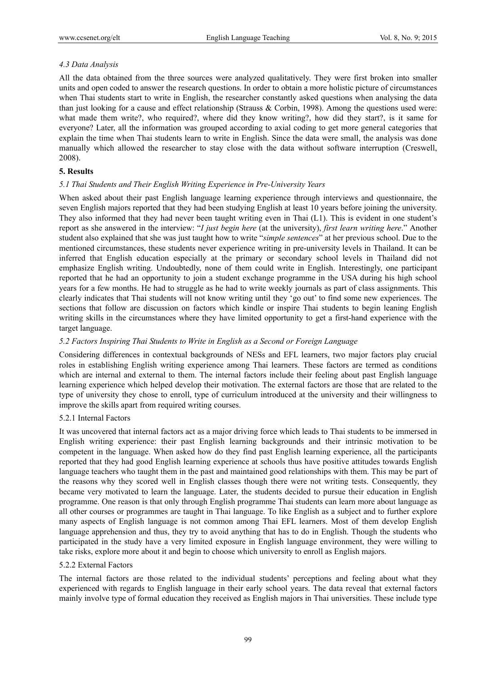## *4.3 Data Analysis*

All the data obtained from the three sources were analyzed qualitatively. They were first broken into smaller units and open coded to answer the research questions. In order to obtain a more holistic picture of circumstances when Thai students start to write in English, the researcher constantly asked questions when analysing the data than just looking for a cause and effect relationship (Strauss & Corbin, 1998). Among the questions used were: what made them write?, who required?, where did they know writing?, how did they start?, is it same for everyone? Later, all the information was grouped according to axial coding to get more general categories that explain the time when Thai students learn to write in English. Since the data were small, the analysis was done manually which allowed the researcher to stay close with the data without software interruption (Creswell, 2008).

# **5. Results**

## *5.1 Thai Students and Their English Writing Experience in Pre-University Years*

When asked about their past English language learning experience through interviews and questionnaire, the seven English majors reported that they had been studying English at least 10 years before joining the university. They also informed that they had never been taught writing even in Thai (L1). This is evident in one student's report as she answered in the interview: "*I just begin here* (at the university), *first learn writing here*." Another student also explained that she was just taught how to write "*simple sentences*" at her previous school. Due to the mentioned circumstances, these students never experience writing in pre-university levels in Thailand. It can be inferred that English education especially at the primary or secondary school levels in Thailand did not emphasize English writing. Undoubtedly, none of them could write in English. Interestingly, one participant reported that he had an opportunity to join a student exchange programme in the USA during his high school years for a few months. He had to struggle as he had to write weekly journals as part of class assignments. This clearly indicates that Thai students will not know writing until they 'go out' to find some new experiences. The sections that follow are discussion on factors which kindle or inspire Thai students to begin leaning English writing skills in the circumstances where they have limited opportunity to get a first-hand experience with the target language.

# *5.2 Factors Inspiring Thai Students to Write in English as a Second or Foreign Language*

Considering differences in contextual backgrounds of NESs and EFL learners, two major factors play crucial roles in establishing English writing experience among Thai learners. These factors are termed as conditions which are internal and external to them. The internal factors include their feeling about past English language learning experience which helped develop their motivation. The external factors are those that are related to the type of university they chose to enroll, type of curriculum introduced at the university and their willingness to improve the skills apart from required writing courses.

## 5.2.1 Internal Factors

It was uncovered that internal factors act as a major driving force which leads to Thai students to be immersed in English writing experience: their past English learning backgrounds and their intrinsic motivation to be competent in the language. When asked how do they find past English learning experience, all the participants reported that they had good English learning experience at schools thus have positive attitudes towards English language teachers who taught them in the past and maintained good relationships with them. This may be part of the reasons why they scored well in English classes though there were not writing tests. Consequently, they became very motivated to learn the language. Later, the students decided to pursue their education in English programme. One reason is that only through English programme Thai students can learn more about language as all other courses or programmes are taught in Thai language. To like English as a subject and to further explore many aspects of English language is not common among Thai EFL learners. Most of them develop English language apprehension and thus, they try to avoid anything that has to do in English. Though the students who participated in the study have a very limited exposure in English language environment, they were willing to take risks, explore more about it and begin to choose which university to enroll as English majors.

## 5.2.2 External Factors

The internal factors are those related to the individual students' perceptions and feeling about what they experienced with regards to English language in their early school years. The data reveal that external factors mainly involve type of formal education they received as English majors in Thai universities. These include type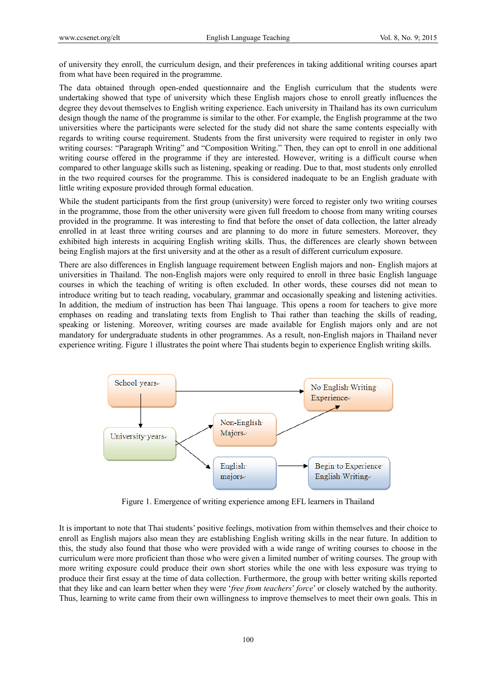of university they enroll, the curriculum design, and their preferences in taking additional writing courses apart from what have been required in the programme.

The data obtained through open-ended questionnaire and the English curriculum that the students were undertaking showed that type of university which these English majors chose to enroll greatly influences the degree they devout themselves to English writing experience. Each university in Thailand has its own curriculum design though the name of the programme is similar to the other. For example, the English programme at the two universities where the participants were selected for the study did not share the same contents especially with regards to writing course requirement. Students from the first university were required to register in only two writing courses: "Paragraph Writing" and "Composition Writing." Then, they can opt to enroll in one additional writing course offered in the programme if they are interested. However, writing is a difficult course when compared to other language skills such as listening, speaking or reading. Due to that, most students only enrolled in the two required courses for the programme. This is considered inadequate to be an English graduate with little writing exposure provided through formal education.

While the student participants from the first group (university) were forced to register only two writing courses in the programme, those from the other university were given full freedom to choose from many writing courses provided in the programme. It was interesting to find that before the onset of data collection, the latter already enrolled in at least three writing courses and are planning to do more in future semesters. Moreover, they exhibited high interests in acquiring English writing skills. Thus, the differences are clearly shown between being English majors at the first university and at the other as a result of different curriculum exposure.

There are also differences in English language requirement between English majors and non- English majors at universities in Thailand. The non-English majors were only required to enroll in three basic English language courses in which the teaching of writing is often excluded. In other words, these courses did not mean to introduce writing but to teach reading, vocabulary, grammar and occasionally speaking and listening activities. In addition, the medium of instruction has been Thai language. This opens a room for teachers to give more emphases on reading and translating texts from English to Thai rather than teaching the skills of reading, speaking or listening. Moreover, writing courses are made available for English majors only and are not mandatory for undergraduate students in other programmes. As a result, non-English majors in Thailand never experience writing. Figure 1 illustrates the point where Thai students begin to experience English writing skills.



Figure 1. Emergence of writing experience among EFL learners in Thailand

It is important to note that Thai students' positive feelings, motivation from within themselves and their choice to enroll as English majors also mean they are establishing English writing skills in the near future. In addition to this, the study also found that those who were provided with a wide range of writing courses to choose in the curriculum were more proficient than those who were given a limited number of writing courses. The group with more writing exposure could produce their own short stories while the one with less exposure was trying to produce their first essay at the time of data collection. Furthermore, the group with better writing skills reported that they like and can learn better when they were '*free from teachers*' *force*' or closely watched by the authority. Thus, learning to write came from their own willingness to improve themselves to meet their own goals. This in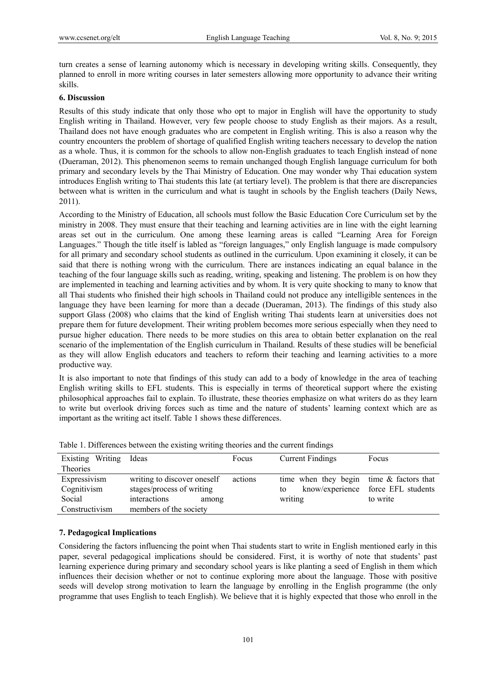turn creates a sense of learning autonomy which is necessary in developing writing skills. Consequently, they planned to enroll in more writing courses in later semesters allowing more opportunity to advance their writing skills.

#### **6. Discussion**

Results of this study indicate that only those who opt to major in English will have the opportunity to study English writing in Thailand. However, very few people choose to study English as their majors. As a result, Thailand does not have enough graduates who are competent in English writing. This is also a reason why the country encounters the problem of shortage of qualified English writing teachers necessary to develop the nation as a whole. Thus, it is common for the schools to allow non-English graduates to teach English instead of none (Dueraman, 2012). This phenomenon seems to remain unchanged though English language curriculum for both primary and secondary levels by the Thai Ministry of Education. One may wonder why Thai education system introduces English writing to Thai students this late (at tertiary level). The problem is that there are discrepancies between what is written in the curriculum and what is taught in schools by the English teachers (Daily News, 2011).

According to the Ministry of Education, all schools must follow the Basic Education Core Curriculum set by the ministry in 2008. They must ensure that their teaching and learning activities are in line with the eight learning areas set out in the curriculum. One among these learning areas is called "Learning Area for Foreign Languages." Though the title itself is labled as "foreign languages," only English language is made compulsory for all primary and secondary school students as outlined in the curriculum. Upon examining it closely, it can be said that there is nothing wrong with the curriculum. There are instances indicating an equal balance in the teaching of the four language skills such as reading, writing, speaking and listening. The problem is on how they are implemented in teaching and learning activities and by whom. It is very quite shocking to many to know that all Thai students who finished their high schools in Thailand could not produce any intelligible sentences in the language they have been learning for more than a decade (Dueraman, 2013). The findings of this study also support Glass (2008) who claims that the kind of English writing Thai students learn at universities does not prepare them for future development. Their writing problem becomes more serious especially when they need to pursue higher education. There needs to be more studies on this area to obtain better explanation on the real scenario of the implementation of the English curriculum in Thailand. Results of these studies will be beneficial as they will allow English educators and teachers to reform their teaching and learning activities to a more productive way.

It is also important to note that findings of this study can add to a body of knowledge in the area of teaching English writing skills to EFL students. This is especially in terms of theoretical support where the existing philosophical approaches fail to explain. To illustrate, these theories emphasize on what writers do as they learn to write but overlook driving forces such as time and the nature of students' learning context which are as important as the writing act itself. Table 1 shows these differences.

| Existing Writing | Ideas                       | Focus   | <b>Current Findings</b>                     | Focus                              |
|------------------|-----------------------------|---------|---------------------------------------------|------------------------------------|
| Theories         |                             |         |                                             |                                    |
| Expressivism     | writing to discover oneself | actions | time when they begin time $\&$ factors that |                                    |
| Cognitivism      | stages/process of writing   |         | to                                          | know/experience force EFL students |
| Social           | interactions<br>among       |         | writing                                     | to write                           |
| Constructivism   | members of the society      |         |                                             |                                    |

Table 1. Differences between the existing writing theories and the current findings

## **7. Pedagogical Implications**

Considering the factors influencing the point when Thai students start to write in English mentioned early in this paper, several pedagogical implications should be considered. First, it is worthy of note that students' past learning experience during primary and secondary school years is like planting a seed of English in them which influences their decision whether or not to continue exploring more about the language. Those with positive seeds will develop strong motivation to learn the language by enrolling in the English programme (the only programme that uses English to teach English). We believe that it is highly expected that those who enroll in the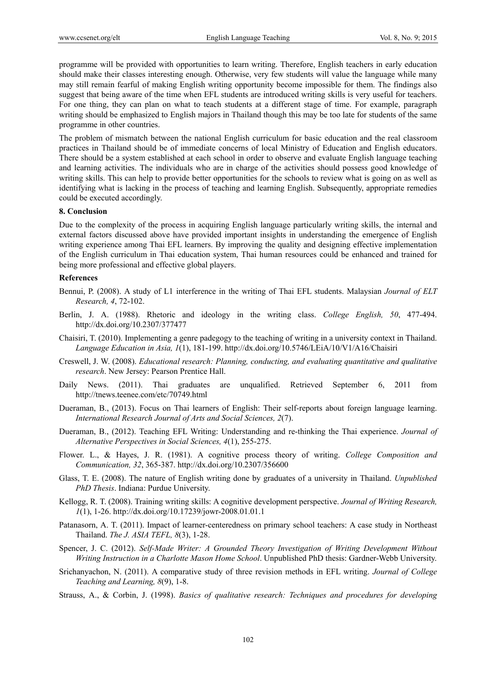programme will be provided with opportunities to learn writing. Therefore, English teachers in early education should make their classes interesting enough. Otherwise, very few students will value the language while many may still remain fearful of making English writing opportunity become impossible for them. The findings also suggest that being aware of the time when EFL students are introduced writing skills is very useful for teachers. For one thing, they can plan on what to teach students at a different stage of time. For example, paragraph writing should be emphasized to English majors in Thailand though this may be too late for students of the same programme in other countries.

The problem of mismatch between the national English curriculum for basic education and the real classroom practices in Thailand should be of immediate concerns of local Ministry of Education and English educators. There should be a system established at each school in order to observe and evaluate English language teaching and learning activities. The individuals who are in charge of the activities should possess good knowledge of writing skills. This can help to provide better opportunities for the schools to review what is going on as well as identifying what is lacking in the process of teaching and learning English. Subsequently, appropriate remedies could be executed accordingly.

#### **8. Conclusion**

Due to the complexity of the process in acquiring English language particularly writing skills, the internal and external factors discussed above have provided important insights in understanding the emergence of English writing experience among Thai EFL learners. By improving the quality and designing effective implementation of the English curriculum in Thai education system, Thai human resources could be enhanced and trained for being more professional and effective global players.

#### **References**

- Bennui, P. (2008). A study of L1 interference in the writing of Thai EFL students. Malaysian *Journal of ELT Research, 4*, 72-102.
- Berlin, J. A. (1988). Rhetoric and ideology in the writing class. *College English, 50*, 477-494. http://dx.doi.org/10.2307/377477
- Chaisiri, T. (2010). Implementing a genre padegogy to the teaching of writing in a university context in Thailand. *Language Education in Asia, 1*(1), 181-199. http://dx.doi.org/10.5746/LEiA/10/V1/A16/Chaisiri
- Creswell, J. W. (2008). *Educational research: Planning, conducting, and evaluating quantitative and qualitative research*. New Jersey: Pearson Prentice Hall.
- Daily News. (2011). Thai graduates are unqualified. Retrieved September 6, 2011 from http://tnews.teenee.com/etc/70749.html
- Dueraman, B., (2013). Focus on Thai learners of English: Their self-reports about foreign language learning. *International Research Journal of Arts and Social Sciences, 2*(7).
- Dueraman, B., (2012). Teaching EFL Writing: Understanding and re-thinking the Thai experience. *Journal of Alternative Perspectives in Social Sciences, 4*(1), 255-275.
- Flower. L., & Hayes, J. R. (1981). A cognitive process theory of writing. *College Composition and Communication, 32*, 365-387. http://dx.doi.org/10.2307/356600
- Glass, T. E. (2008). The nature of English writing done by graduates of a university in Thailand. *Unpublished PhD Thesis*. Indiana: Purdue University.
- Kellogg, R. T. (2008). Training writing skills: A cognitive development perspective. *Journal of Writing Research, 1*(1), 1-26. http://dx.doi.org/10.17239/jowr-2008.01.01.1
- Patanasorn, A. T. (2011). Impact of learner-centeredness on primary school teachers: A case study in Northeast Thailand. *The J. ASIA TEFL, 8*(3), 1-28.
- Spencer, J. C. (2012). *Self-Made Writer: A Grounded Theory Investigation of Writing Development Without Writing Instruction in a Charlotte Mason Home School*. Unpublished PhD thesis: Gardner-Webb University.
- Srichanyachon, N. (2011). A comparative study of three revision methods in EFL writing. *Journal of College Teaching and Learning, 8*(9), 1-8.
- Strauss, A., & Corbin, J. (1998). *Basics of qualitative research: Techniques and procedures for developing*